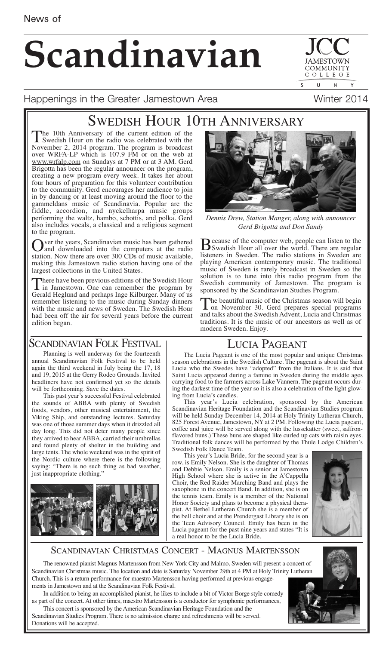# **Scandinavian**

 $\mathbf{U}$  $\overline{N}$ 

COMMUNIT COLLEGE

 $\overline{\mathsf{S}}$ 

#### Happenings in the Greater Jamestown Area Microsoft Munter 2014

## SWEDISH HOUR 10TH ANNIVERSARY

The 10th Anniversary of the current edition of the<br>Swedish Hour on the radio was celebrated with the<br>Neugahan 20014 groepens The groepens is breedeed November 2, 2014 program. The program is broadcast over WRFA-LP which is 107.9 FM or on the web at www.wrfalp.com on Sundays at 7 PM or at 3 AM. Gerd Brigotta has been the regular announcer on the program, creating a new program every week. It takes her about four hours of preparation for this volunteer contribution to the community. Gerd encourages her audience to join in by dancing or at least moving around the floor to the gammeldans music of Scandinavia. Popular are the fiddle, accordion, and nyckelharpa music groups performing the waltz, hambo, schottis, and polka. Gerd also includes vocals, a classical and a religious segment to the program.

Over the years, Scandinavian music has been gathered<br>and downloaded into the computers at the radio station. Now there are over 300 CDs of music available. making this Jamestown radio station having one of the largest collections in the United States.

There have been previous editions of the Swedish Hour<br>in Jamestown. One can remember the program by<br>Gradd Husband and nodes the Killema March Gerald Heglund and perhaps Inge Kilburger. Many of us remember listening to the music during Sunday dinners with the music and news of Sweden. The Swedish Hour had been off the air for several years before the current edition began.



*Dennis Drew, Station Manger, along with announcer Gerd Brigotta and Don Sandy*

**B** ecause of the computer web, people can listen to the Swedish Hour all over the world. There are regular listeners in Sweden. The radio stations in Sweden are playing American contemporary music. The traditional music of Sweden is rarely broadcast in Sweden so the solution is to tune into this radio program from the Swedish community of Jamestown. The program is sponsored by the Scandinavian Studies Program.

The beautiful music of the Christmas season will begin<br>on November 30. Gerd prepares special programs and talks about the Swedish Advent, Lucia and Christmas traditions. It is the music of our ancestors as well as of modern Sweden. Enjoy.

#### LUCIA PAGEANT

### SCANDINAVIAN FOLK FESTIVAL

Planning is well underway for the fourteenth annual Scandinavian Folk Festival to be held again the third weekend in July being the 17, 18 and 19, 2015 at the Gerry Rodeo Grounds. Invited headliners have not confirmed yet so the details will be forthcoming. Save the dates.

This past year's successful Festival celebrated the sounds of ABBA with plenty of Swedish foods, vendors, other musical entertainment, the Viking Ship, and outstanding lectures. Saturday was one of those summer days when it drizzled all day long. This did not deter many people since they arrived to hear ABBA, carried their umbrellas and found plenty of shelter in the building and large tents. The whole weekend was in the spirit of the Nordic culture where there is the following saying: "There is no such thing as bad weather, just inappropriate clothing."



The Lucia Pageant is one of the most popular and unique Christmas season celebrations in the Swedish Culture. The pageant is about the Saint Lucia who the Swedes have "adopted" from the Italians. It is said that Saint Lucia appeared during a famine in Sweden during the middle ages carrying food to the farmers across Lake Vännern. The pageant occurs during the darkest time of the year so it is also a celebration of the light glowing from Lucia's candles.

This year's Lucia celebration, sponsored by the American Scandinavian Heritage Foundation and the Scandinavian Studies program will be held Sunday December 14, 2014 at Holy Trinity Lutheran Church, 825 Forest Avenue, Jamestown, NY at 2 PM. Following the Lucia pageant, coffee and juice will be served along with the lussekatter (sweet, saffronflavored buns.) These buns are shaped like curled up cats with raisin eyes. Traditional folk dances will be performed by the Thule Lodge Children's Swedish Folk Dance Team.

This year's Lucia Bride, for the second year is a row, is Emily Nelson. She is the daughter of Thomas and Debbie Nelson. Emily is a senior at Jamestown High School where she is active in the A'Cappella Choir, the Red Raider Marching Band and plays the saxophone in the concert Band. In addition, she is on the tennis team. Emily is a member of the National Honor Society and plans to become a physical therapist. At Bethel Lutheran Church she is a member of the bell choir and at the Prendergast Library she is on the Teen Advisory Council. Emily has been in the Lucia pageant for the past nine years and states "It is a real honor to be the Lucia Bride.



#### SCANDINAVIAN CHRISTMAS CONCERT - MAGNUS MARTENSSON

The renowned pianist Magnus Martensson from New York City and Malmo, Sweden will present a concert of Scandinavian Christmas music. The location and date is Saturday November 29th at 4 PM at Holy Trinity Lutheran Church. This is a return performance for maestro Martensson having performed at previous engagements in Jamestown and at the Scandinavian Folk Festival.

In addition to being an accomplished pianist, he likes to include a bit of Victor Borge style comedy as part of the concert. At other times, maestro Martensson is a conductor for symphonic performances, This concert is sponsored by the American Scandinavian Heritage Foundation and the

Scandinavian Studies Program. There is no admission charge and refreshments will be served. Donations will be accepted.